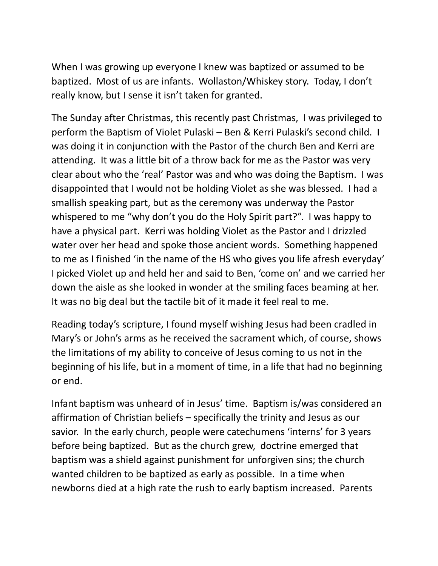When I was growing up everyone I knew was baptized or assumed to be baptized. Most of us are infants. Wollaston/Whiskey story. Today, I don't really know, but I sense it isn't taken for granted.

The Sunday after Christmas, this recently past Christmas, I was privileged to perform the Baptism of Violet Pulaski – Ben & Kerri Pulaski's second child. I was doing it in conjunction with the Pastor of the church Ben and Kerri are attending. It was a little bit of a throw back for me as the Pastor was very clear about who the 'real' Pastor was and who was doing the Baptism. I was disappointed that I would not be holding Violet as she was blessed. I had a smallish speaking part, but as the ceremony was underway the Pastor whispered to me "why don't you do the Holy Spirit part?". I was happy to have a physical part. Kerri was holding Violet as the Pastor and I drizzled water over her head and spoke those ancient words. Something happened to me as I finished 'in the name of the HS who gives you life afresh everyday' I picked Violet up and held her and said to Ben, 'come on' and we carried her down the aisle as she looked in wonder at the smiling faces beaming at her. It was no big deal but the tactile bit of it made it feel real to me.

Reading today's scripture, I found myself wishing Jesus had been cradled in Mary's or John's arms as he received the sacrament which, of course, shows the limitations of my ability to conceive of Jesus coming to us not in the beginning of his life, but in a moment of time, in a life that had no beginning or end.

Infant baptism was unheard of in Jesus' time. Baptism is/was considered an affirmation of Christian beliefs – specifically the trinity and Jesus as our savior. In the early church, people were catechumens 'interns' for 3 years before being baptized. But as the church grew, doctrine emerged that baptism was a shield against punishment for unforgiven sins; the church wanted children to be baptized as early as possible. In a time when newborns died at a high rate the rush to early baptism increased. Parents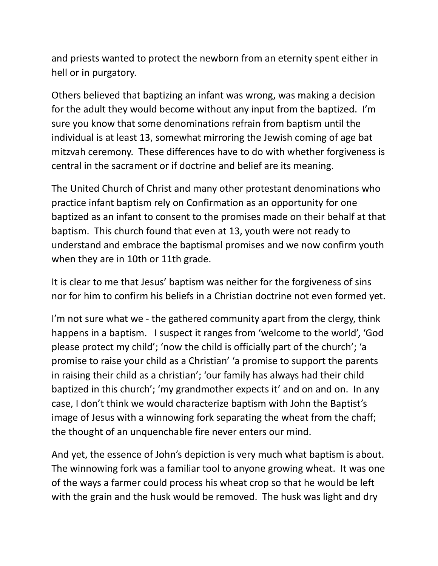and priests wanted to protect the newborn from an eternity spent either in hell or in purgatory.

Others believed that baptizing an infant was wrong, was making a decision for the adult they would become without any input from the baptized. I'm sure you know that some denominations refrain from baptism until the individual is at least 13, somewhat mirroring the Jewish coming of age bat mitzvah ceremony. These differences have to do with whether forgiveness is central in the sacrament or if doctrine and belief are its meaning.

The United Church of Christ and many other protestant denominations who practice infant baptism rely on Confirmation as an opportunity for one baptized as an infant to consent to the promises made on their behalf at that baptism. This church found that even at 13, youth were not ready to understand and embrace the baptismal promises and we now confirm youth when they are in 10th or 11th grade.

It is clear to me that Jesus' baptism was neither for the forgiveness of sins nor for him to confirm his beliefs in a Christian doctrine not even formed yet.

I'm not sure what we - the gathered community apart from the clergy, think happens in a baptism. I suspect it ranges from 'welcome to the world', 'God please protect my child'; 'now the child is officially part of the church'; 'a promise to raise your child as a Christian' 'a promise to support the parents in raising their child as a christian'; 'our family has always had their child baptized in this church'; 'my grandmother expects it' and on and on. In any case, I don't think we would characterize baptism with John the Baptist's image of Jesus with a winnowing fork separating the wheat from the chaff; the thought of an unquenchable fire never enters our mind.

And yet, the essence of John's depiction is very much what baptism is about. The winnowing fork was a familiar tool to anyone growing wheat. It was one of the ways a farmer could process his wheat crop so that he would be left with the grain and the husk would be removed. The husk was light and dry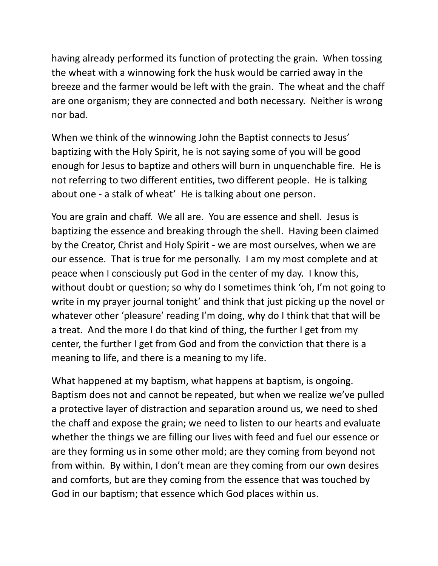having already performed its function of protecting the grain. When tossing the wheat with a winnowing fork the husk would be carried away in the breeze and the farmer would be left with the grain. The wheat and the chaff are one organism; they are connected and both necessary. Neither is wrong nor bad.

When we think of the winnowing John the Baptist connects to Jesus' baptizing with the Holy Spirit, he is not saying some of you will be good enough for Jesus to baptize and others will burn in unquenchable fire. He is not referring to two different entities, two different people. He is talking about one - a stalk of wheat' He is talking about one person.

You are grain and chaff. We all are. You are essence and shell. Jesus is baptizing the essence and breaking through the shell. Having been claimed by the Creator, Christ and Holy Spirit - we are most ourselves, when we are our essence. That is true for me personally. I am my most complete and at peace when I consciously put God in the center of my day. I know this, without doubt or question; so why do I sometimes think 'oh, I'm not going to write in my prayer journal tonight' and think that just picking up the novel or whatever other 'pleasure' reading I'm doing, why do I think that that will be a treat. And the more I do that kind of thing, the further I get from my center, the further I get from God and from the conviction that there is a meaning to life, and there is a meaning to my life.

What happened at my baptism, what happens at baptism, is ongoing. Baptism does not and cannot be repeated, but when we realize we've pulled a protective layer of distraction and separation around us, we need to shed the chaff and expose the grain; we need to listen to our hearts and evaluate whether the things we are filling our lives with feed and fuel our essence or are they forming us in some other mold; are they coming from beyond not from within. By within, I don't mean are they coming from our own desires and comforts, but are they coming from the essence that was touched by God in our baptism; that essence which God places within us.